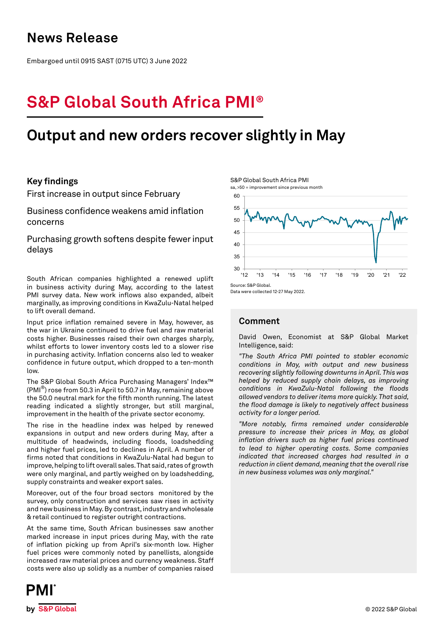## **News Release**

Embargoed until 0915 SAST (0715 UTC) 3 June 2022

# **S&P Global South Africa PMI®**

## **Output and new orders recover slightly in May**

## **Key findings**

First increase in output since February

Business confidence weakens amid inflation concerns

Purchasing growth softens despite fewer input delays

South African companies highlighted a renewed uplift in business activity during May, according to the latest PMI survey data. New work inflows also expanded, albeit marginally, as improving conditions in KwaZulu-Natal helped to lift overall demand.

Input price inflation remained severe in May, however, as the war in Ukraine continued to drive fuel and raw material costs higher. Businesses raised their own charges sharply, whilst efforts to lower inventory costs led to a slower rise in purchasing activity. Inflation concerns also led to weaker confidence in future output, which dropped to a ten-month low.

The S&P Global South Africa Purchasing Managers' Index™ (PMI®) rose from 50.3 in April to 50.7 in May, remaining above the 50.0 neutral mark for the fifth month running. The latest reading indicated a slightly stronger, but still marginal, improvement in the health of the private sector economy.

The rise in the headline index was helped by renewed expansions in output and new orders during May, after a multitude of headwinds, including floods, loadshedding and higher fuel prices, led to declines in April. A number of firms noted that conditions in KwaZulu-Natal had begun to improve, helping to lift overall sales. That said, rates of growth were only marginal, and partly weighed on by loadshedding, supply constraints and weaker export sales.

Moreover, out of the four broad sectors monitored by the survey, only construction and services saw rises in activity and new business in May. By contrast, industry and wholesale & retail continued to register outright contractions.

At the same time, South African businesses saw another marked increase in input prices during May, with the rate of inflation picking up from April's six-month low. Higher fuel prices were commonly noted by panellists, alongside increased raw material prices and currency weakness. Staff costs were also up solidly as a number of companies raised





Data were collected 12-27 May 2022.

## **Comment**

David Owen, Economist at S&P Global Market Intelligence, said:

*"The South Africa PMI pointed to stabler economic conditions in May, with output and new business recovering slightly following downturns in April. This was helped by reduced supply chain delays, as improving conditions in KwaZulu-Natal following the floods allowed vendors to deliver items more quickly. That said, the flood damage is likely to negatively affect business activity for a longer period.*

*"More notably, firms remained under considerable pressure to increase their prices in May, as global inflation drivers such as higher fuel prices continued to lead to higher operating costs. Some companies indicated that increased charges had resulted in a reduction in client demand, meaning that the overall rise in new business volumes was only marginal."*